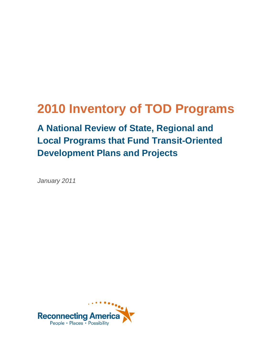# **2010 Inventory of TOD Programs**

**A National Review of State, Regional and Local Programs that Fund Transit-Oriented Development Plans and Projects**

*January 2011*

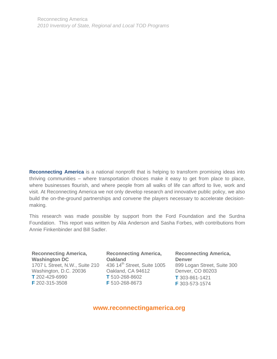**Reconnecting America** is a national nonprofit that is helping to transform promising ideas into thriving communities – where transportation choices make it easy to get from place to place, where businesses flourish, and where people from all walks of life can afford to live, work and visit. At Reconnecting America we not only develop research and innovative public policy, we also build the on-the-ground partnerships and convene the players necessary to accelerate decisionmaking.

This research was made possible by support from the Ford Foundation and the Surdna Foundation. This report was written by Alia Anderson and Sasha Forbes, with contributions from Annie Finkenbinder and Bill Sadler.

**Reconnecting America, Washington DC** 1707 L Street, N.W., Suite 210 436 14<sup>th</sup> Street, Suite 1005 Washington, D.C. 20036 Oakland, CA 94612 **T** 202-429-6990 **F** 202-315-3508

**Reconnecting America, Oakland T** 510-268-8602 **F** 510-268-8673

**Reconnecting America, Denver** 899 Logan Street, Suite 300 Denver, CO 80203 **T** 303-861-1421 **F** 303-573-1574

**www.reconnectingamerica.org**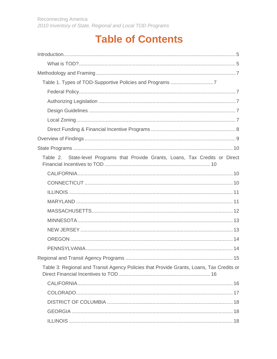# **Table of Contents**

| Table 2. State-level Programs that Provide Grants, Loans, Tax Credits or Direct          |  |
|------------------------------------------------------------------------------------------|--|
|                                                                                          |  |
|                                                                                          |  |
|                                                                                          |  |
|                                                                                          |  |
|                                                                                          |  |
|                                                                                          |  |
|                                                                                          |  |
|                                                                                          |  |
|                                                                                          |  |
|                                                                                          |  |
| Table 3: Regional and Transit Agency Policies that Provide Grants, Loans, Tax Credits or |  |
|                                                                                          |  |
|                                                                                          |  |
|                                                                                          |  |
|                                                                                          |  |
|                                                                                          |  |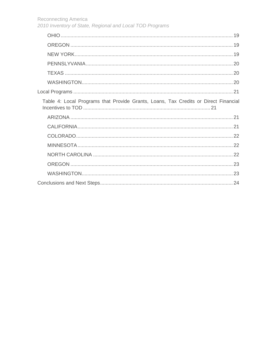Reconnecting America

|  |  |  |  | 2010 Inventory of State, Regional and Local TOD Programs |
|--|--|--|--|----------------------------------------------------------|
|--|--|--|--|----------------------------------------------------------|

| Table 4: Local Programs that Provide Grants, Loans, Tax Credits or Direct Financial |  |
|-------------------------------------------------------------------------------------|--|
|                                                                                     |  |
|                                                                                     |  |
|                                                                                     |  |
|                                                                                     |  |
|                                                                                     |  |
|                                                                                     |  |
|                                                                                     |  |
|                                                                                     |  |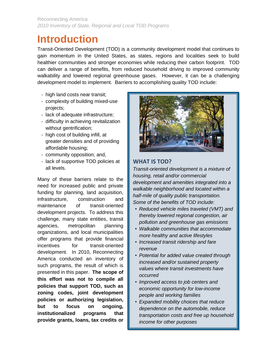## <span id="page-4-0"></span>**Introduction**

Transit-Oriented Development (TOD) is a community development model that continues to gain momentum in the United States, as states, regions and localities seek to build healthier communities and stronger economies while reducing their carbon footprint. TOD can deliver a range of benefits, from reduced household driving to improved community walkability and lowered regional greenhouse gases. However, it can be a challenging development model to implement. Barriers to accomplishing quality TOD include:

- high land costs near transit;
- complexity of building mixed-use projects;
- lack of adequate infrastructure;
- difficulty in achieving revitalization without gentrification;
- high cost of building infill, at greater densities and of providing affordable housing;
- community opposition; and,
- lack of supportive TOD policies at all levels.

Many of these barriers relate to the need for increased public and private funding for planning, land acquisition, infrastructure, construction and maintenance of transit-oriented development projects. To address this challenge, many state entities, transit agencies, metropolitan planning organizations, and local municipalities offer programs that provide financial incentives for transit-oriented development. In 2010, Reconnecting America conducted an inventory of such programs, the result of which is presented in this paper. **The scope of this effort was not to compile all policies that support TOD, such as zoning codes, joint development policies or authorizing legislation, but to focus on ongoing, institutionalized programs that provide grants, loans, tax credits or** 



#### **WHAT IS TOD?**

*Transit-oriented development is a mixture of housing, retail and/or commercial development and amenities integrated into a walkable neighborhood and located within a half-mile of quality public transportation. Some of the benefits of TOD include:*

- *Reduced vehicle miles traveled (VMT) and thereby lowered regional congestion, air pollution and greenhouse gas emissions*
- *Walkable communities that accommodate more healthy and active lifestyles*
- *Increased transit ridership and fare revenue*
- *Potential for added value created through increased and/or sustained property values where transit investments have occurred*
- *Improved access to job centers and economic opportunity for low-income people and working families*
- *Expanded mobility choices that reduce dependence on the automobile, reduce transportation costs and free up household income for other purposes*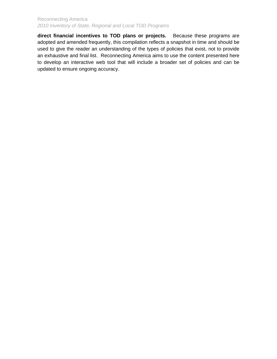**direct financial incentives to TOD plans or projects.** Because these programs are adopted and amended frequently, this compilation reflects a snapshot in time and should be used to give the reader an understanding of the types of policies that exist, not to provide an exhaustive and final list. Reconnecting America aims to use the content presented here to develop an interactive web tool that will include a broader set of policies and can be updated to ensure ongoing accuracy.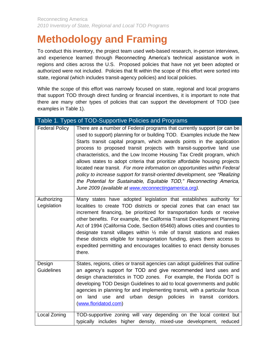# <span id="page-6-0"></span>**Methodology and Framing**

To conduct this inventory, the project team used web-based research, in-person interviews, and experience learned through Reconnecting America's technical assistance work in regions and cities across the U.S. Proposed policies that have not yet been adopted or authorized were not included. Policies that fit within the scope of this effort were sorted into state, regional (which includes transit-agency policies) and local policies.

While the scope of this effort was narrowly focused on state, regional and local programs that support TOD through direct funding or financial incentives, it is important to note that there are many other types of policies that can support the development of TOD (see examples in Table 1).

<span id="page-6-5"></span><span id="page-6-4"></span><span id="page-6-3"></span><span id="page-6-2"></span><span id="page-6-1"></span>

|                             | Table 1. Types of TOD-Supportive Policies and Programs                                                                                                                                                                                                                                                                                                                                                                                                                                                                                                                                                                                                                                                                                                       |
|-----------------------------|--------------------------------------------------------------------------------------------------------------------------------------------------------------------------------------------------------------------------------------------------------------------------------------------------------------------------------------------------------------------------------------------------------------------------------------------------------------------------------------------------------------------------------------------------------------------------------------------------------------------------------------------------------------------------------------------------------------------------------------------------------------|
| <b>Federal Policy</b>       | There are a number of Federal programs that currently support (or can be<br>used to support) planning for or building TOD. Examples include the New<br>Starts transit capital program, which awards points in the application<br>process to proposed transit projects with transit-supportive land use<br>characteristics, and the Low Income Housing Tax Credit program, which<br>allows states to adopt criteria that prioritize affordable housing projects<br>located near transit. For more information on opportunities within Federal<br>policy to increase support for transit-oriented development, see "Realizing<br>the Potential for Sustainable, Equitable TOD," Reconnecting America,<br>June 2009 (available at www.reconnectingamerica.org). |
| Authorizing<br>Legislation  | Many states have adopted legislation that establishes authority for<br>localities to create TOD districts or special zones that can enact tax<br>increment financing, be prioritized for transportation funds or receive<br>other benefits. For example, the California Transit Development Planning<br>Act of 1994 (California Code, Section 65460) allows cities and counties to<br>designate transit villages within $\frac{1}{2}$ mile of transit stations and makes<br>these districts eligible for transportation funding, gives them access to<br>expedited permitting and encourages localities to enact density bonuses<br>there.                                                                                                                   |
| Design<br><b>Guidelines</b> | States, regions, cities or transit agencies can adopt guidelines that outline<br>an agency's support for TOD and give recommended land uses and<br>design characteristics in TOD zones. For example, the Florida DOT is<br>developing TOD Design Guidelines to aid to local governments and public<br>agencies in planning for and implementing transit, with a particular focus<br>urban<br>policies<br>transit<br>land<br>and<br>design<br>in<br>corridors.<br>use<br>on<br>(www.floridatod.com)                                                                                                                                                                                                                                                           |
| Local Zoning                | TOD-supportive zoning will vary depending on the local context but<br>typically includes higher density, mixed-use development, reduced                                                                                                                                                                                                                                                                                                                                                                                                                                                                                                                                                                                                                      |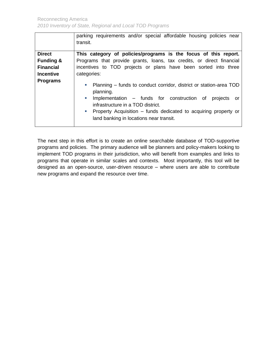<span id="page-7-0"></span>

|                      | parking requirements and/or special affordable housing policies near<br>transit.                                                                                                                                                                                                                                                                                           |  |  |  |
|----------------------|----------------------------------------------------------------------------------------------------------------------------------------------------------------------------------------------------------------------------------------------------------------------------------------------------------------------------------------------------------------------------|--|--|--|
| <b>Direct</b>        | This category of policies/programs is the focus of this report.                                                                                                                                                                                                                                                                                                            |  |  |  |
| <b>Funding &amp;</b> | Programs that provide grants, loans, tax credits, or direct financial                                                                                                                                                                                                                                                                                                      |  |  |  |
| <b>Financial</b>     | incentives to TOD projects or plans have been sorted into three                                                                                                                                                                                                                                                                                                            |  |  |  |
| <b>Incentive</b>     | categories:                                                                                                                                                                                                                                                                                                                                                                |  |  |  |
| <b>Programs</b>      | Planning – funds to conduct corridor, district or station-area TOD<br>$\mathcal{L}_{\mathcal{A}}$<br>planning.<br>Implementation – funds for construction of<br>$\Box$<br>projects<br>or<br>infrastructure in a TOD district.<br>Property Acquisition – funds dedicated to acquiring property or<br>$\mathcal{L}_{\mathcal{A}}$<br>land banking in locations near transit. |  |  |  |

The next step in this effort is to create an online searchable database of TOD-supportive programs and policies. The primary audience will be planners and policy-makers looking to implement TOD programs in their jurisdiction, who will benefit from examples and links to programs that operate in similar scales and contexts. Most importantly, this tool will be designed as an open-source, user-driven resource – where users are able to contribute new programs and expand the resource over time.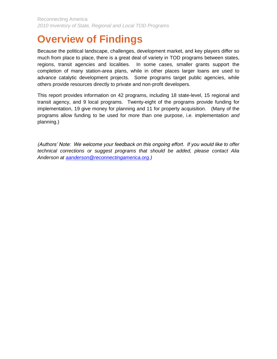# <span id="page-8-0"></span>**Overview of Findings**

Because the political landscape, challenges, development market, and key players differ so much from place to place, there is a great deal of variety in TOD programs between states, regions, transit agencies and localities. In some cases, smaller grants support the completion of many station-area plans, while in other places larger loans are used to advance catalytic development projects. Some programs target public agencies, while others provide resources directly to private and non-profit developers.

This report provides information on 42 programs, including 18 state-level, 15 regional and transit agency, and 9 local programs. Twenty-eight of the programs provide funding for implementation, 19 give money for planning and 11 for property acquisition. (Many of the programs allow funding to be used for more than one purpose, i.e. implementation *and* planning.)

*(Authors' Note: We welcome your feedback on this ongoing effort. If you would like to offer technical corrections or suggest programs that should be added, please contact Alia Anderson at [aanderson@reconnectingamerica.org.](mailto:aanderson@reconnectingamerica.org))*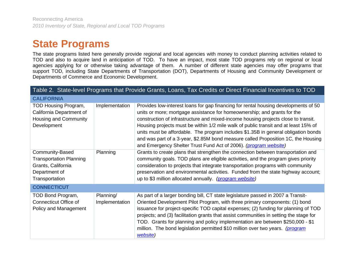# **State Programs**

The state programs listed here generally provide regional and local agencies with money to conduct planning activities related to TOD and also to acquire land in anticipation of TOD. To have an impact, most state TOD programs rely on regional or local agencies applying for or otherwise taking advantage of them. A number of different state agencies may offer programs that support TOD, including State Departments of Transportation (DOT), Departments of Housing and Community Development or Departments of Commerce and Economic Development.

<span id="page-9-3"></span><span id="page-9-2"></span><span id="page-9-1"></span><span id="page-9-0"></span>

| Table 2. State-level Programs that Provide Grants, Loans, Tax Credits or Direct Financial Incentives to TOD |                             |                                                                                                                                                                                                                                                                                                                                                                                                                                                                                                                                                                                             |
|-------------------------------------------------------------------------------------------------------------|-----------------------------|---------------------------------------------------------------------------------------------------------------------------------------------------------------------------------------------------------------------------------------------------------------------------------------------------------------------------------------------------------------------------------------------------------------------------------------------------------------------------------------------------------------------------------------------------------------------------------------------|
| <b>CALIFORNIA</b>                                                                                           |                             |                                                                                                                                                                                                                                                                                                                                                                                                                                                                                                                                                                                             |
| TOD Housing Program,<br>California Department of<br>Housing and Community<br>Development                    | Implementation              | Provides low-interest loans for gap financing for rental housing developments of 50<br>units or more; mortgage assistance for homeownership; and grants for the<br>construction of infrastructure and mixed-income housing projects close to transit.<br>Housing projects must be within 1/2 mile walk of public transit and at least 15% of<br>units must be affordable. The program includes \$1.35B in general obligation bonds<br>and was part of a 3-year, \$2.85M bond measure called Proposition 1C, the Housing<br>and Emergency Shelter Trust Fund Act of 2006). (program website) |
| Community-Based<br><b>Transportation Planning</b><br>Grants, California<br>Department of<br>Transportation  | Planning                    | Grants to create plans that strengthen the connection between transportation and<br>community goals. TOD plans are eligible activities, and the program gives priority<br>consideration to projects that integrate transportation programs with community<br>preservation and environmental activities. Funded from the state highway account;<br>up to \$3 million allocated annually. (program website)                                                                                                                                                                                   |
| <b>CONNECTICUT</b>                                                                                          |                             |                                                                                                                                                                                                                                                                                                                                                                                                                                                                                                                                                                                             |
| TOD Bond Program,<br>Connecticut Office of<br>Policy and Management                                         | Planning/<br>Implementation | As part of a larger bonding bill, CT state legislature passed in 2007 a Transit-<br>Oriented Development Pilot Program, with three primary components: (1) bond<br>issuance for project-specific TOD capital expenses; (2) funding for planning of TOD<br>projects; and (3) facilitation grants that assist communities in setting the stage for<br>TOD. Grants for planning and policy implementation are between \$250,000 - \$1<br>million. The bond legislation permitted \$10 million over two years. (program<br>website)                                                             |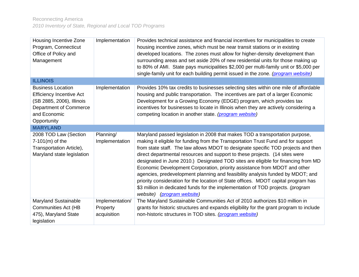<span id="page-10-1"></span><span id="page-10-0"></span>

| Housing Incentive Zone<br>Program, Connecticut<br>Office of Policy and<br>Management                                                              | Implementation                             | Provides technical assistance and financial incentives for municipalities to create<br>housing incentive zones, which must be near transit stations or in existing<br>developed locations. The zones must allow for higher-density development than<br>surrounding areas and set aside 20% of new residential units for those making up<br>to 80% of AMI. State pays municipalities \$2,000 per multi-family unit or \$5,000 per<br>single-family unit for each building permit issued in the zone. (program website)                                                                                                                                                                                                                                                                            |
|---------------------------------------------------------------------------------------------------------------------------------------------------|--------------------------------------------|--------------------------------------------------------------------------------------------------------------------------------------------------------------------------------------------------------------------------------------------------------------------------------------------------------------------------------------------------------------------------------------------------------------------------------------------------------------------------------------------------------------------------------------------------------------------------------------------------------------------------------------------------------------------------------------------------------------------------------------------------------------------------------------------------|
| <b>ILLINOIS</b>                                                                                                                                   |                                            |                                                                                                                                                                                                                                                                                                                                                                                                                                                                                                                                                                                                                                                                                                                                                                                                  |
| <b>Business Location</b><br><b>Efficiency Incentive Act</b><br>(SB 2885, 2006), Illinois<br>Department of Commerce<br>and Economic<br>Opportunity | Implementation                             | Provides 10% tax credits to businesses selecting sites within one mile of affordable<br>housing and public transportation. The incentives are part of a larger Economic<br>Development for a Growing Economy (EDGE) program, which provides tax<br>incentives for businesses to locate in Illinois when they are actively considering a<br>competing location in another state. (program website)                                                                                                                                                                                                                                                                                                                                                                                                |
| <b>MARYLAND</b>                                                                                                                                   |                                            |                                                                                                                                                                                                                                                                                                                                                                                                                                                                                                                                                                                                                                                                                                                                                                                                  |
| 2008 TOD Law (Section<br>$7-101(m)$ of the<br>Transportation Article),<br>Maryland state legislation                                              | Planning/<br>Implementation                | Maryland passed legislation in 2008 that makes TOD a transportation purpose,<br>making it eligible for funding from the Transportation Trust Fund and for support<br>from state staff. The law allows MDOT to designate specific TOD projects and then<br>direct departmental resources and support to these projects. (14 sites were<br>designated in June 2010.) Designated TOD sites are eligible for financing from MD<br>Economic Development Corporation, priority assistance from MDOT and other<br>agencies, predevelopment planning and feasibility analysis funded by MDOT; and<br>priority consideration for the location of State offices. MDOT capital program has<br>\$3 million in dedicated funds for the implementation of TOD projects. (program<br>website) (program website) |
| <b>Maryland Sustainable</b><br><b>Communities Act (HB</b><br>475), Maryland State<br>legislation                                                  | Implementation/<br>Property<br>acquisition | The Maryland Sustainable Communities Act of 2010 authorizes \$10 million in<br>grants for historic structures and expands eligibility for the grant program to include<br>non-historic structures in TOD sites. (program website)                                                                                                                                                                                                                                                                                                                                                                                                                                                                                                                                                                |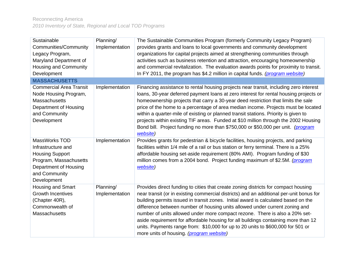<span id="page-11-0"></span>

| Sustainable<br><b>Communities/Community</b><br>Legacy Program,<br>Maryland Department of<br>Housing and Community<br>Development                 | Planning/<br>Implementation | The Sustainable Communities Program (formerly Community Legacy Program)<br>provides grants and loans to local governments and community development<br>organizations for capital projects aimed at strengthening communities through<br>activities such as business retention and attraction, encouraging homeownership<br>and commercial revitalization. The evaluation awards points for proximity to transit.<br>In FY 2011, the program has \$4.2 million in capital funds. (program website)                                                                                                                                                      |
|--------------------------------------------------------------------------------------------------------------------------------------------------|-----------------------------|--------------------------------------------------------------------------------------------------------------------------------------------------------------------------------------------------------------------------------------------------------------------------------------------------------------------------------------------------------------------------------------------------------------------------------------------------------------------------------------------------------------------------------------------------------------------------------------------------------------------------------------------------------|
| <b>MASSACHUSETTS</b>                                                                                                                             |                             |                                                                                                                                                                                                                                                                                                                                                                                                                                                                                                                                                                                                                                                        |
| <b>Commercial Area Transit</b><br>Node Housing Program,<br><b>Massachusetts</b><br>Department of Housing<br>and Community<br>Development         | Implementation              | Financing assistance to rental housing projects near transit, including zero interest<br>loans, 30-year deferred payment loans at zero interest for rental housing projects or<br>homeownership projects that carry a 30-year deed restriction that limits the sale<br>price of the home to a percentage of area median income. Projects must be located<br>within a quarter-mile of existing or planned transit stations. Priority is given to<br>projects within existing TIF areas. Funded at \$10 million through the 2002 Housing<br>Bond bill. Project funding no more than \$750,000 or \$50,000 per unit. (program<br>website)                 |
| MassWorks TOD<br>Infrastructure and<br><b>Housing Support</b><br>Program, Massachusetts<br>Department of Housing<br>and Community<br>Development | Implementation              | Provides grants for pedestrian & bicycle facilities, housing projects, and parking<br>facilities within 1/4 mile of a rail or bus station or ferry terminal. There is a 25%<br>affordable housing set-aside requirement (80% AMI). Program funding of \$30<br>million comes from a 2004 bond. Project funding maximum of \$2.5M. (program<br>website)                                                                                                                                                                                                                                                                                                  |
| Housing and Smart<br><b>Growth Incentives</b><br>(Chapter 40R),<br>Commonwealth of<br><b>Massachusetts</b>                                       | Planning/<br>Implementation | Provides direct funding to cities that create zoning districts for compact housing<br>near transit (or in existing commercial districts) and an additional per-unit bonus for<br>building permits issued in transit zones. Initial award is calculated based on the<br>difference between number of housing units allowed under current zoning and<br>number of units allowed under more compact rezone. There is also a 20% set-<br>aside requirement for affordable housing for all buildings containing more than 12<br>units. Payments range from: \$10,000 for up to 20 units to \$600,000 for 501 or<br>more units of housing. (program website) |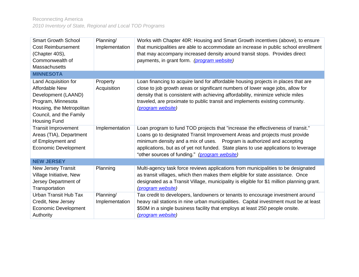<span id="page-12-2"></span><span id="page-12-1"></span><span id="page-12-0"></span>

| <b>Smart Growth School</b><br><b>Cost Reimbursement</b><br>(Chapter 40S),<br>Commonwealth of<br><b>Massachusetts</b>                                                      | Planning/<br>Implementation | Works with Chapter 40R: Housing and Smart Growth incentives (above), to ensure<br>that municipalities are able to accommodate an increase in public school enrollment<br>that may accompany increased density around transit stops. Provides direct<br>payments, in grant form. (program website)                                                                                |
|---------------------------------------------------------------------------------------------------------------------------------------------------------------------------|-----------------------------|----------------------------------------------------------------------------------------------------------------------------------------------------------------------------------------------------------------------------------------------------------------------------------------------------------------------------------------------------------------------------------|
| <b>MINNESOTA</b>                                                                                                                                                          |                             |                                                                                                                                                                                                                                                                                                                                                                                  |
| Land Acquisition for<br><b>Affordable New</b><br>Development (LAAND)<br>Program, Minnesota<br>Housing, the Metropolitan<br>Council, and the Family<br><b>Housing Fund</b> | Property<br>Acquisition     | Loan financing to acquire land for affordable housing projects in places that are<br>close to job growth areas or significant numbers of lower wage jobs, allow for<br>density that is consistent with achieving affordability, minimize vehicle miles<br>traveled, are proximate to public transit and implements existing community.<br>(program website)                      |
| <b>Transit Improvement</b><br>Areas (TIA), Department<br>of Employment and<br><b>Economic Development</b>                                                                 | Implementation              | Loan program to fund TOD projects that "increase the effectiveness of transit."<br>Loans go to designated Transit Improvement Areas and projects must provide<br>minimum density and a mix of uses.  Program is authorized and accepting<br>applications, but as of yet not funded. State plans to use applications to leverage<br>"other sources of funding." (program website) |
| <b>NEW JERSEY</b>                                                                                                                                                         |                             |                                                                                                                                                                                                                                                                                                                                                                                  |
| New Jersey Transit<br>Village Initiative, New<br>Jersey Department of<br>Transportation                                                                                   | Planning                    | Multi-agency task force reviews applications from municipalities to be designated<br>as transit villages, which then makes them eligible for state assistance. Once<br>designated as a Transit Village, municipality is eligible for \$1 million planning grant.<br><i>(program website)</i>                                                                                     |
| Urban Transit Hub Tax<br>Credit, New Jersey<br><b>Economic Development</b><br>Authority                                                                                   | Planning/<br>Implementation | Tax credit to developers, landowners or tenants to encourage investment around<br>heavy rail stations in nine urban municipalities. Capital investment must be at least<br>\$50M in a single business facility that employs at least 250 people onsite.<br>(program website)                                                                                                     |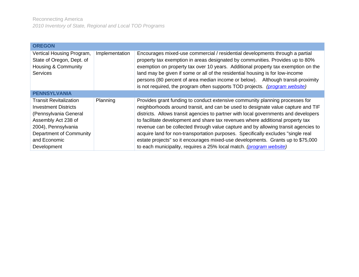<span id="page-13-0"></span>

| <b>OREGON</b>                                                                                                                                                                                 |                |                                                                                                                                                                                                                                                                                                                                                                                                                                                                                                                                                                                                                                                                               |
|-----------------------------------------------------------------------------------------------------------------------------------------------------------------------------------------------|----------------|-------------------------------------------------------------------------------------------------------------------------------------------------------------------------------------------------------------------------------------------------------------------------------------------------------------------------------------------------------------------------------------------------------------------------------------------------------------------------------------------------------------------------------------------------------------------------------------------------------------------------------------------------------------------------------|
| Vertical Housing Program,<br>State of Oregon, Dept. of<br><b>Housing &amp; Community</b><br><b>Services</b>                                                                                   | Implementation | Encourages mixed-use commercial / residential developments through a partial<br>property tax exemption in areas designated by communities. Provides up to 80%<br>exemption on property tax over 10 years. Additional property tax exemption on the<br>land may be given if some or all of the residential housing is for low-income<br>persons (80 percent of area median income or below). Although transit-proximity<br>is not required, the program often supports TOD projects. (program website)                                                                                                                                                                         |
| <b>PENNSYLVANIA</b>                                                                                                                                                                           |                |                                                                                                                                                                                                                                                                                                                                                                                                                                                                                                                                                                                                                                                                               |
| <b>Transit Revitalization</b><br><b>Investment Districts</b><br>(Pennsylvania General<br>Assembly Act 238 of<br>2004), Pennsylvania<br>Department of Community<br>and Economic<br>Development | Planning       | Provides grant funding to conduct extensive community planning processes for<br>neighborhoods around transit, and can be used to designate value capture and TIF<br>districts. Allows transit agencies to partner with local governments and developers<br>to facilitate development and share tax revenues where additional property tax<br>revenue can be collected through value capture and by allowing transit agencies to<br>acquire land for non-transportation purposes. Specifically excludes "single real<br>estate projects" so it encourages mixed-use developments. Grants up to \$75,000<br>to each municipality, requires a 25% local match. (program website) |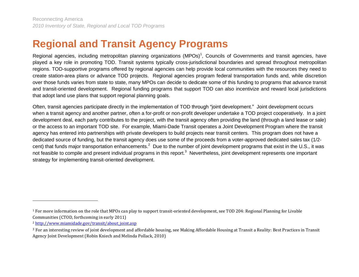# **Regional and Transit Agency Programs**

Regional agencies, including metropolitan planning organizations (MPOs)<sup>1</sup>, Councils of Governments and transit agencies, have played a key role in promoting TOD. Transit systems typically cross-jurisdictional boundaries and spread throughout metropolitan regions. TOD-supportive programs offered by regional agencies can help provide local communities with the resources they need to create station-area plans or advance TOD projects. Regional agencies program federal transportation funds and, while discretion over those funds varies from state to state, many MPOs can decide to dedicate some of this funding to programs that advance transit and transit-oriented development. Regional funding programs that support TOD can also incentivize and reward local jurisdictions that adopt land use plans that support regional planning goals.

<span id="page-14-0"></span>Often, transit agencies participate directly in the implementation of TOD through "joint development." Joint development occurs when a transit agency and another partner, often a for-profit or non-profit developer undertake a TOD project cooperatively. In a joint development deal, each party contributes to the project, with the transit agency often providing the land (through a land lease or sale) or the access to an important TOD site. For example, Miami-Dade Transit operates a Joint Development Program where the transit agency has entered into partnerships with private developers to build projects near transit centers. This program does not have a dedicated source of funding, but the transit agency does use some of the proceeds from a voter-approved dedicated sales tax (1/2 cent) that funds major transportation enhancements.<sup>2</sup> Due to the number of joint development programs that exist in the U.S., it was not feasible to compile and present individual programs in this report.<sup>3</sup> Nevertheless, joint development represents one important strategy for implementing transit-oriented development.

 $\overline{\phantom{0}}$ 

<sup>1</sup> For more information on the role that MPOs can play to support transit-oriented development, see TOD 204: Regional Planning for Livable Communities (CTOD, forthcoming in early 2011)

<sup>&</sup>lt;sup>2</sup> [http://www.miamidade.gov/transit/about\\_joint.asp](http://www.miamidade.gov/transit/about_joint.asp)

<sup>3</sup> For an interesting review of joint development and affordable housing, see Making Affordable Housing at Transit a Reality: Best Practices in Transit Agency Joint Development (Robin Kniech and Melinda Pollack, 2010)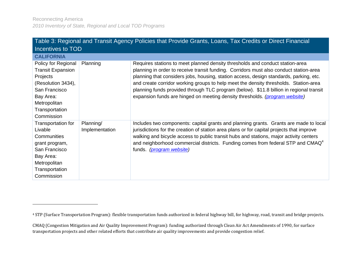<span id="page-15-1"></span>l

<span id="page-15-0"></span>

| Table 3: Regional and Transit Agency Policies that Provide Grants, Loans, Tax Credits or Direct Financial                                                       |                             |                                                                                                                                                                                                                                                                                                                                                                                                                                                                                                                                     |
|-----------------------------------------------------------------------------------------------------------------------------------------------------------------|-----------------------------|-------------------------------------------------------------------------------------------------------------------------------------------------------------------------------------------------------------------------------------------------------------------------------------------------------------------------------------------------------------------------------------------------------------------------------------------------------------------------------------------------------------------------------------|
| Incentives to TOD                                                                                                                                               |                             |                                                                                                                                                                                                                                                                                                                                                                                                                                                                                                                                     |
| <b>CALIFORNIA</b>                                                                                                                                               |                             |                                                                                                                                                                                                                                                                                                                                                                                                                                                                                                                                     |
| Policy for Regional<br><b>Transit Expansion</b><br>Projects<br>(Resolution 3434),<br>San Francisco<br>Bay Area:<br>Metropolitan<br>Transportation<br>Commission | Planning                    | Requires stations to meet planned density thresholds and conduct station-area<br>planning in order to receive transit funding. Corridors must also conduct station-area<br>planning that considers jobs, housing, station access, design standards, parking, etc.<br>and create corridor working groups to help meet the density thresholds. Station-area<br>planning funds provided through TLC program (below). \$11.8 billion in regional transit<br>expansion funds are hinged on meeting density thresholds. (program website) |
| Transportation for<br>Livable<br>Communities<br>grant program,<br>San Francisco<br>Bay Area:<br>Metropolitan<br>Transportation<br>Commission                    | Planning/<br>Implementation | Includes two components: capital grants and planning grants. Grants are made to local<br>jurisdictions for the creation of station area plans or for capital projects that improve<br>walking and bicycle access to public transit hubs and stations, major activity centers<br>and neighborhood commercial districts. Funding comes from federal STP and CMAQ <sup>4</sup><br>funds. ( <i>program website</i> )                                                                                                                    |

<sup>4</sup> STP (Surface Transportation Program): flexible transportation funds authorized in federal highway bill, for highway, road, transit and bridge projects.

CMAQ (Congestion Mitigation and Air Quality Improvement Program): funding authorized through Clean Air Act Amendments of 1990, for surface transportation projects and other related efforts that contribute air quality improvements and provide congestion relief.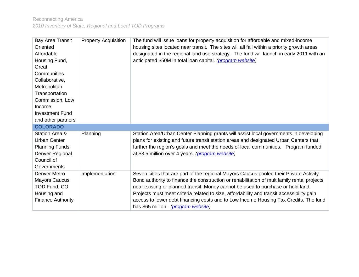<span id="page-16-0"></span>

| <b>Bay Area Transit</b><br>Oriented<br>Affordable<br>Housing Fund,<br>Great<br>Communities<br>Collaborative,<br>Metropolitan<br>Transportation<br>Commission, Low<br>Income<br><b>Investment Fund</b><br>and other partners | <b>Property Acquisition</b> | The fund will issue loans for property acquisition for affordable and mixed-income<br>housing sites located near transit. The sites will all fall within a priority growth areas<br>designated in the regional land use strategy. The fund will launch in early 2011 with an<br>anticipated \$50M in total loan capital. (program website)                                                                                                                                                            |
|-----------------------------------------------------------------------------------------------------------------------------------------------------------------------------------------------------------------------------|-----------------------------|-------------------------------------------------------------------------------------------------------------------------------------------------------------------------------------------------------------------------------------------------------------------------------------------------------------------------------------------------------------------------------------------------------------------------------------------------------------------------------------------------------|
| <b>COLORADO</b>                                                                                                                                                                                                             |                             |                                                                                                                                                                                                                                                                                                                                                                                                                                                                                                       |
| Station Area &<br><b>Urban Center</b><br>Planning Funds,<br>Denver Regional<br>Council of<br>Governments                                                                                                                    | Planning                    | Station Area/Urban Center Planning grants will assist local governments in developing<br>plans for existing and future transit station areas and designated Urban Centers that<br>further the region's goals and meet the needs of local communities. Program funded<br>at \$3.5 million over 4 years. (program website)                                                                                                                                                                              |
| Denver Metro<br><b>Mayors Caucus</b><br>TOD Fund, CO<br>Housing and<br><b>Finance Authority</b>                                                                                                                             | Implementation              | Seven cities that are part of the regional Mayors Caucus pooled their Private Activity<br>Bond authority to finance the construction or rehabilitation of multifamily rental projects<br>near existing or planned transit. Money cannot be used to purchase or hold land.<br>Projects must meet criteria related to size, affordability and transit accessibility gain<br>access to lower debt financing costs and to Low Income Housing Tax Credits. The fund<br>has \$65 million. (program website) |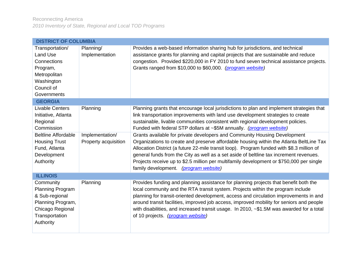<span id="page-17-2"></span><span id="page-17-1"></span><span id="page-17-0"></span>

| <b>DISTRICT OF COLUMBIA</b>                                                                                                                                                |                                                     |                                                                                                                                                                                                                                                                                                                                                                                                                                                                                                                                                                                                                                                                                                                                                                                                                                            |  |
|----------------------------------------------------------------------------------------------------------------------------------------------------------------------------|-----------------------------------------------------|--------------------------------------------------------------------------------------------------------------------------------------------------------------------------------------------------------------------------------------------------------------------------------------------------------------------------------------------------------------------------------------------------------------------------------------------------------------------------------------------------------------------------------------------------------------------------------------------------------------------------------------------------------------------------------------------------------------------------------------------------------------------------------------------------------------------------------------------|--|
| Transportation/<br>Land Use<br>Connections<br>Program,<br>Metropolitan<br>Washington<br>Council of<br>Governments                                                          | Planning/<br>Implementation                         | Provides a web-based information sharing hub for jurisdictions, and technical<br>assistance grants for planning and capital projects that are sustainable and reduce<br>congestion. Provided \$220,000 in FY 2010 to fund seven technical assistance projects.<br>Grants ranged from \$10,000 to \$60,000. (program website)                                                                                                                                                                                                                                                                                                                                                                                                                                                                                                               |  |
| <b>GEORGIA</b>                                                                                                                                                             |                                                     |                                                                                                                                                                                                                                                                                                                                                                                                                                                                                                                                                                                                                                                                                                                                                                                                                                            |  |
| <b>Livable Centers</b><br>Initiative, Atlanta<br>Regional<br>Commission<br><b>Beltline Affordable</b><br><b>Housing Trust</b><br>Fund, Atlanta<br>Development<br>Authority | Planning<br>Implementation/<br>Property acquisition | Planning grants that encourage local jurisdictions to plan and implement strategies that<br>link transportation improvements with land use development strategies to create<br>sustainable, livable communities consistent with regional development policies.<br>Funded with federal STP dollars at ~\$5M annually. (program website)<br>Grants available for private developers and Community Housing Development<br>Organizations to create and preserve affordable housing within the Atlanta BeltLine Tax<br>Allocation District (a future 22-mile transit loop). Program funded with \$8.3 million of<br>general funds from the City as well as a set aside of beltline tax increment revenues.<br>Projects receive up to \$2.5 million per multifamily development or \$750,000 per single<br>family development. (program website) |  |
| <b>ILLINOIS</b>                                                                                                                                                            |                                                     |                                                                                                                                                                                                                                                                                                                                                                                                                                                                                                                                                                                                                                                                                                                                                                                                                                            |  |
| Community<br>Planning Program<br>& Sub-regional<br>Planning Program,<br>Chicago Regional<br>Transportation<br>Authority                                                    | Planning                                            | Provides funding and planning assistance for planning projects that benefit both the<br>local community and the RTA transit system. Projects within the program include<br>planning for transit-oriented development, access and circulation improvements in and<br>around transit facilities, improved job access, improved mobility for seniors and people<br>with disabilities, and increased transit usage. In 2010, ~\$1.5M was awarded for a total<br>of 10 projects. (program website)                                                                                                                                                                                                                                                                                                                                              |  |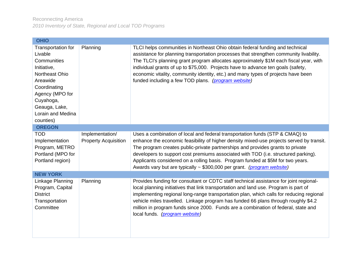<span id="page-18-2"></span><span id="page-18-1"></span><span id="page-18-0"></span>

| <b>OHIO</b>                                                                                                                                                                                  |                                                |                                                                                                                                                                                                                                                                                                                                                                                                                                                                                                               |  |
|----------------------------------------------------------------------------------------------------------------------------------------------------------------------------------------------|------------------------------------------------|---------------------------------------------------------------------------------------------------------------------------------------------------------------------------------------------------------------------------------------------------------------------------------------------------------------------------------------------------------------------------------------------------------------------------------------------------------------------------------------------------------------|--|
| Transportation for<br>Livable<br>Communities<br>Initiative,<br>Northeast Ohio<br>Areawide<br>Coordinating<br>Agency (MPO for<br>Cuyahoga,<br>Geauga, Lake,<br>Lorain and Medina<br>counties) | Planning                                       | TLCI helps communities in Northeast Ohio obtain federal funding and technical<br>assistance for planning transportation processes that strengthen community livability.<br>The TLCI's planning grant program allocates approximately \$1M each fiscal year, with<br>individual grants of up to \$75,000. Projects have to advance ten goals (safety,<br>economic vitality, community identity, etc.) and many types of projects have been<br>funded including a few TOD plans. (program website)              |  |
| <b>OREGON</b>                                                                                                                                                                                |                                                |                                                                                                                                                                                                                                                                                                                                                                                                                                                                                                               |  |
| <b>TOD</b><br>Implementation<br>Program, METRO<br>Portland (MPO for<br>Portland region)                                                                                                      | Implementation/<br><b>Property Acquisition</b> | Uses a combination of local and federal transportation funds (STP & CMAQ) to<br>enhance the economic feasibility of higher density mixed-use projects served by transit.<br>The program creates public-private partnerships and provides grants to private<br>developers to support cost premiums associated with TOD (i.e. structured parking).<br>Applicants considered on a rolling basis. Program funded at \$5M for two years.<br>Awards vary but are typically ~ \$300,000 per grant. (program website) |  |
| <b>NEW YORK</b>                                                                                                                                                                              |                                                |                                                                                                                                                                                                                                                                                                                                                                                                                                                                                                               |  |
| Linkage Planning<br>Program, Capital<br><b>District</b><br>Transportation<br>Committee                                                                                                       | Planning                                       | Provides funding for consultant or CDTC staff technical assistance for joint regional-<br>local planning initiatives that link transportation and land use. Program is part of<br>implementing regional long-range transportation plan, which calls for reducing regional<br>vehicle miles travelled. Linkage program has funded 66 plans through roughly \$4.2<br>million in program funds since 2000. Funds are a combination of federal, state and<br>local funds. (program website)                       |  |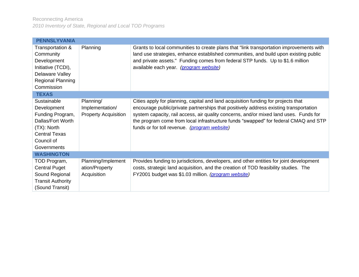<span id="page-19-2"></span><span id="page-19-1"></span><span id="page-19-0"></span>

| <b>PENNSLYVANIA</b>                                                                                                                     |                                                             |                                                                                                                                                                                                                                                                                                                                                                                                            |
|-----------------------------------------------------------------------------------------------------------------------------------------|-------------------------------------------------------------|------------------------------------------------------------------------------------------------------------------------------------------------------------------------------------------------------------------------------------------------------------------------------------------------------------------------------------------------------------------------------------------------------------|
| Transportation &<br>Community<br>Development<br>Initiative (TCDI),<br>Delaware Valley<br>Regional Planning<br>Commission                | Planning                                                    | Grants to local communities to create plans that "link transportation improvements with<br>land use strategies, enhance established communities, and build upon existing public<br>and private assets." Funding comes from federal STP funds. Up to \$1.6 million<br>available each year. (program website)                                                                                                |
| <b>TEXAS</b>                                                                                                                            |                                                             |                                                                                                                                                                                                                                                                                                                                                                                                            |
| Sustainable<br>Development<br>Funding Program,<br>Dallas/Fort Worth<br>(TX): North<br><b>Central Texas</b><br>Council of<br>Governments | Planning/<br>Implementation/<br><b>Property Acquisition</b> | Cities apply for planning, capital and land acquisition funding for projects that<br>encourage public/private partnerships that positively address existing transportation<br>system capacity, rail access, air quality concerns, and/or mixed land uses. Funds for<br>the program come from local infrastructure funds "swapped" for federal CMAQ and STP<br>funds or for toll revenue. (program website) |
| <b>WASHINGTON</b>                                                                                                                       |                                                             |                                                                                                                                                                                                                                                                                                                                                                                                            |
| TOD Program,<br><b>Central Puget</b><br>Sound Regional<br><b>Transit Authority</b><br>(Sound Transit)                                   | Planning/Implement<br>ation/Property<br>Acquisition         | Provides funding to jurisdictions, developers, and other entities for joint development<br>costs, strategic land acquisition, and the creation of TOD feasibility studies. The<br>FY2001 budget was \$1.03 million. (program website)                                                                                                                                                                      |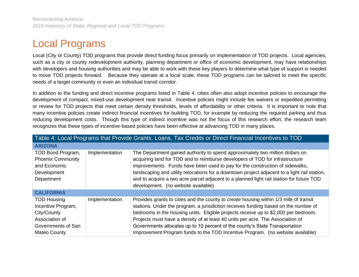# Local Programs

Local (City or County) TOD programs that provide direct funding focus primarily on implementation of TOD projects. Local agencies, such as a city or county redevelopment authority, planning department or office of economic development, may have relationships with developers and housing authorities and may be able to work with these key players to determine what type of support is needed to move TOD projects forward. Because they operate at a local scale, these TOD programs can be tailored to meet the specific needs of a target community or even an individual transit corridor.

In addition to the funding and direct incentive programs listed in Table 4, cities often also adopt incentive policies to encourage the development of compact, mixed-use development near transit. Incentive policies might include fee waivers or expedited permitting or review for TOD projects that meet certain density thresholds, levels of affordability or other criteria. It is important to note that many incentive policies create indirect financial incentives for building TOD, for example by reducing the required parking and thus reducing development costs. Though this type of indirect incentive was not the focus of this research effort, the research team recognizes that these types of incentive-based policies have been effective at advancing TOD in many places.

<span id="page-20-3"></span><span id="page-20-2"></span><span id="page-20-1"></span><span id="page-20-0"></span>

| Table 4: Local Programs that Provide Grants, Loans, Tax Credits or Direct Financial Incentives to TOD           |                |                                                                                                                                                                                                                                                                                                                                                                                                                                                                                                                        |  |
|-----------------------------------------------------------------------------------------------------------------|----------------|------------------------------------------------------------------------------------------------------------------------------------------------------------------------------------------------------------------------------------------------------------------------------------------------------------------------------------------------------------------------------------------------------------------------------------------------------------------------------------------------------------------------|--|
| <b>ARIZONA</b>                                                                                                  |                |                                                                                                                                                                                                                                                                                                                                                                                                                                                                                                                        |  |
| TOD Bond Program,<br><b>Phoenix Community</b><br>and Economic<br>Development<br>Department                      | Implementation | The Department gained authority to spend approximately two million dollars on<br>acquiring land for TOD and to reimburse developers of TOD for infrastructure<br>improvements. Funds have been used to pay for the construction of sidewalks,<br>landscaping and utility relocations for a downtown project adjacent to a light rail station,<br>and to acquire a two acre parcel adjacent to a planned light rail station for future TOD<br>development. (no website available)                                       |  |
| <b>CALIFORNIA</b>                                                                                               |                |                                                                                                                                                                                                                                                                                                                                                                                                                                                                                                                        |  |
| <b>TOD Housing</b><br>Incentive Program,<br>City/County<br>Association of<br>Governments of San<br>Mateo County | Implementation | Provides grants to cities and the county to create housing within 1/3 mile of transit<br>stations. Under the program, a jurisdiction receives funding based on the number of<br>bedrooms in the housing units. Eligible projects receive up to \$2,000 per bedroom.<br>Projects must have a density of at least 40 units per acre. The Association of<br>Governments allocates up to 10 percent of the county's State Transportation<br>Improvement Program funds to the TOD Incentive Program. (no website available) |  |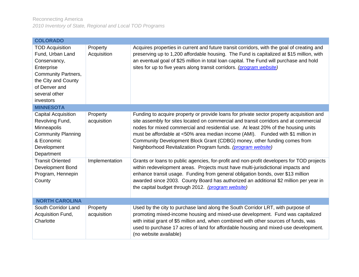<span id="page-21-2"></span><span id="page-21-1"></span><span id="page-21-0"></span>

| <b>COLORADO</b>                                                                                                                                                              |                         |                                                                                                                                                                                                                                                                                                                                                                                                                                                                                                       |  |
|------------------------------------------------------------------------------------------------------------------------------------------------------------------------------|-------------------------|-------------------------------------------------------------------------------------------------------------------------------------------------------------------------------------------------------------------------------------------------------------------------------------------------------------------------------------------------------------------------------------------------------------------------------------------------------------------------------------------------------|--|
| <b>TOD Acquisition</b><br>Fund, Urban Land<br>Conservancy,<br>Enterprise<br><b>Community Partners,</b><br>the City and County<br>of Denver and<br>several other<br>investors | Property<br>Acquisition | Acquires properties in current and future transit corridors, with the goal of creating and<br>preserving up to 1,200 affordable housing. The Fund is capitalized at \$15 million, with<br>an eventual goal of \$25 million in total loan capital. The Fund will purchase and hold<br>sites for up to five years along transit corridors. (program website)                                                                                                                                            |  |
| <b>MINNESOTA</b>                                                                                                                                                             |                         |                                                                                                                                                                                                                                                                                                                                                                                                                                                                                                       |  |
| <b>Capital Acquisition</b><br>Revolving Fund,<br>Minneapolis<br><b>Community Planning</b><br>& Economic<br>Development<br>Department                                         | Property<br>acquisition | Funding to acquire property or provide loans for private sector property acquisition and<br>site assembly for sites located on commercial and transit corridors and at commercial<br>nodes for mixed commercial and residential use. At least 20% of the housing units<br>must be affordable at <50% area median income (AMI). Funded with \$1 million in<br>Community Development Block Grant (CDBG) money, other funding comes from<br>Neighborhood Revitalization Program funds. (program website) |  |
| <b>Transit Oriented</b><br>Development Bond<br>Program, Hennepin<br>County                                                                                                   | Implementation          | Grants or loans to public agencies, for-profit and non-profit developers for TOD projects<br>within redevelopment areas. Projects must have multi-jurisdictional impacts and<br>enhance transit usage. Funding from general obligation bonds, over \$13 million<br>awarded since 2003. County Board has authorized an additional \$2 million per year in<br>the capital budget through 2012. (program website)                                                                                        |  |
| <b>NORTH CAROLINA</b>                                                                                                                                                        |                         |                                                                                                                                                                                                                                                                                                                                                                                                                                                                                                       |  |
| South Corridor Land<br>Acquisition Fund,<br>Charlotte                                                                                                                        | Property<br>acquisition | Used by the city to purchase land along the South Corridor LRT, with purpose of<br>promoting mixed-income housing and mixed-use development. Fund was capitalized<br>with initial grant of \$5 million and, when combined with other sources of funds, was<br>used to purchase 17 acres of land for affordable housing and mixed-use development.<br>(no website available)                                                                                                                           |  |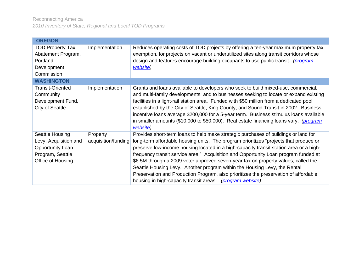<span id="page-22-1"></span><span id="page-22-0"></span>

| <b>OREGON</b>                                                                                                |                                 |                                                                                                                                                                                                                                                                                                                                                                                                                                                                                                                                                                                                                                                                                       |  |
|--------------------------------------------------------------------------------------------------------------|---------------------------------|---------------------------------------------------------------------------------------------------------------------------------------------------------------------------------------------------------------------------------------------------------------------------------------------------------------------------------------------------------------------------------------------------------------------------------------------------------------------------------------------------------------------------------------------------------------------------------------------------------------------------------------------------------------------------------------|--|
| <b>TOD Property Tax</b><br>Abatement Program,<br>Portland<br>Development<br>Commission                       | Implementation                  | Reduces operating costs of TOD projects by offering a ten-year maximum property tax<br>exemption, for projects on vacant or underutilized sites along transit corridors whose<br>design and features encourage building occupants to use public transit. (program<br>website)                                                                                                                                                                                                                                                                                                                                                                                                         |  |
| <b>WASHINGTON</b>                                                                                            |                                 |                                                                                                                                                                                                                                                                                                                                                                                                                                                                                                                                                                                                                                                                                       |  |
| <b>Transit-Oriented</b><br>Community<br>Development Fund,<br><b>City of Seattle</b>                          | Implementation                  | Grants and loans available to developers who seek to build mixed-use, commercial,<br>and multi-family developments, and to businesses seeking to locate or expand existing<br>facilities in a light-rail station area. Funded with \$50 million from a dedicated pool<br>established by the City of Seattle, King County, and Sound Transit in 2002. Business<br>incentive loans average \$200,000 for a 5-year term. Business stimulus loans available<br>in smaller amounts (\$10,000 to \$50,000). Real estate financing loans vary. (program<br>website)                                                                                                                          |  |
| Seattle Housing<br>Levy, Acquisition and<br><b>Opportunity Loan</b><br>Program, Seattle<br>Office of Housing | Property<br>acquisition/funding | Provides short-term loans to help make strategic purchases of buildings or land for<br>long-term affordable housing units. The program prioritizes "projects that produce or<br>preserve low-income housing located in a high-capacity transit station area or a high-<br>frequency transit service area." Acquisition and Opportunity Loan program funded at<br>\$6.5M through a 2009 voter approved seven-year tax on property values, called the<br>Seattle Housing Levy. Another program within the Housing Levy, the Rental<br>Preservation and Production Program, also prioritizes the preservation of affordable<br>housing in high-capacity transit areas. (program website) |  |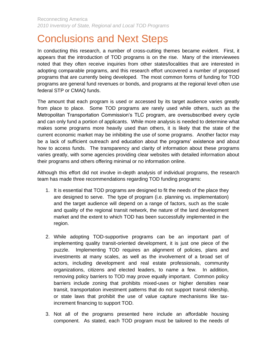# <span id="page-23-0"></span>Conclusions and Next Steps

In conducting this research, a number of cross-cutting themes became evident. First, it appears that the introduction of TOD programs is on the rise. Many of the interviewees noted that they often receive inquiries from other states/localities that are interested in adopting comparable programs, and this research effort uncovered a number of proposed programs that are currently being developed. The most common forms of funding for TOD programs are general fund revenues or bonds, and programs at the regional level often use federal STP or CMAQ funds.

The amount that each program is used or accessed by its target audience varies greatly from place to place. Some TOD programs are rarely used while others, such as the Metropolitan Transportation Commission's TLC program, are oversubscribed every cycle and can only fund a portion of applicants. While more analysis is needed to determine what makes some programs more heavily used than others, it is likely that the state of the current economic market may be inhibiting the use of some programs. Another factor may be a lack of sufficient outreach and education about the programs' existence and about how to access funds. The transparency and clarity of information about these programs varies greatly, with some agencies providing clear websites with detailed information about their programs and others offering minimal or no information online.

Although this effort did not involve in-depth analysis of individual programs, the research team has made three recommendations regarding TOD funding programs:

- 1. It is essential that TOD programs are designed to fit the needs of the place they are designed to serve. The type of program (i.e. planning vs. implementation) and the target audience will depend on a range of factors, such as the scale and quality of the regional transit network, the nature of the land development market and the extent to which TOD has been successfully implemented in the region.
- 2. While adopting TOD-supportive programs can be an important part of implementing quality transit-oriented development, it is just one piece of the puzzle. Implementing TOD requires an alignment of policies, plans and investments at many scales, as well as the involvement of a broad set of actors, including development and real estate professionals, community organizations, citizens and elected leaders, to name a few. In addition, removing policy barriers to TOD may prove equally important. Common policy barriers include zoning that prohibits mixed-uses or higher densities near transit, transportation investment patterns that do not support transit ridership, or state laws that prohibit the use of value capture mechanisms like taxincrement financing to support TOD.
- 3. Not all of the programs presented here include an affordable housing component. As stated, each TOD program must be tailored to the needs of